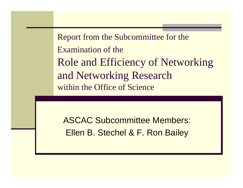Report from the Subcommittee for the Examination of theRole and Efficiency of Networking and Networking Research within the Office of Science

ASCAC Subcommittee Members: Ellen B. Stechel & F. Ron Bailey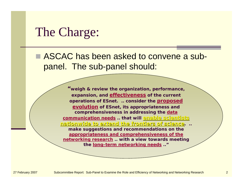#### The Charge:

■ ASCAC has been asked to convene a subpanel. The sub-panel should:

> *"weigh & review the organization, performance, expansion, and effectiveness of the current operations of ESnet. .. consider the proposed evolution of ESnet, its appropriateness and comprehensiveness in addressing the data communication needs .. that will enable scientists enable scientists nationwide to extend the frontiers of science nationwide to extend the frontiers of science. .. make suggestions and recommendations on the appropriateness and comprehensiveness of the networking research .. with a view towards meeting the long-term networking needs .."*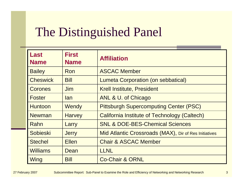# The Distinguished Panel

| <b>Last</b><br><b>Name</b> | <b>First</b><br><b>Name</b> | <b>Affiliation</b>                                    |
|----------------------------|-----------------------------|-------------------------------------------------------|
| <b>Bailey</b>              | Ron                         | <b>ASCAC Member</b>                                   |
| <b>Cheswick</b>            | <b>Bill</b>                 | <b>Lumeta Corporation (on sebbatical)</b>             |
| <b>Corones</b>             | <b>Jim</b>                  | <b>Krell Institute, President</b>                     |
| <b>Foster</b>              | lan                         | ANL & U. of Chicago                                   |
| <b>Huntoon</b>             | Wendy                       | <b>Pittsburgh Supercomputing Center (PSC)</b>         |
| <b>Newman</b>              | <b>Harvey</b>               | California Institute of Technology (Caltech)          |
| Rahn                       | Larry                       | <b>SNL &amp; DOE-BES-Chemical Sciences</b>            |
| Sobieski                   | <b>Jerry</b>                | Mid Atlantic Crossroads (MAX), Dir of Res Initiatives |
| <b>Stechel</b>             | <b>Ellen</b>                | <b>Chair &amp; ASCAC Member</b>                       |
| <b>Williams</b>            | Dean                        | <b>LLNL</b>                                           |
| Wing                       | <b>Bill</b>                 | <b>Co-Chair &amp; ORNL</b>                            |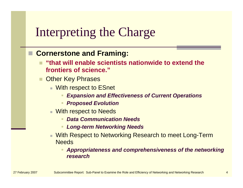## Interpreting the Charge

#### **Cornerstone and Framing:**

- **"that will enable scientists nationwide to extend the frontiers of science."**
- Other Key Phrases
	- With respect to ESnet
		- *Expansion and Effectiveness of Current Operations*
		- *Proposed Evolution*
	- With respect to Needs
		- *Data Communication Needs*
		- *Long-term Networking Needs*
	- With Respect to Networking Research to meet Long-Term **Needs** 
		- *Appropriateness and comprehensiveness of the networking research*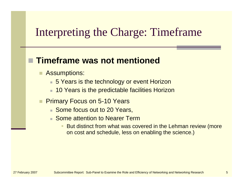#### Interpreting the Charge: Timeframe

#### **Timeframe was not mentioned**

- Assumptions:
	- 5 Years is the technology or event Horizon
	- 10 Years is the predictable facilities Horizon
- Primary Focus on 5-10 Years
	- Some focus out to 20 Years,
	- Some attention to Nearer Term
		- But distinct from what was covered in the Lehman review (more on cost and schedule, less on enabling the science.)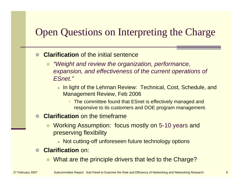#### Open Questions on Interpreting the Charge

- **Clarification** of the initial sentence
	- *"Weight and review the organization, performance, expansion, and effectiveness of the current operations of ESnet."*
		- In light of the Lehman Review: Technical, Cost, Schedule, and Management Review, Feb 2006
			- ٠ The committee found that ESnet is effectively managed and responsive to its customers and DOE program management.
- **Clarification** on the timeframe
	- Working Assumption: focus mostly on 5-10 years and preserving flexibility
		- Not cutting-off unforeseen future technology options
- **Clarification** on:
	- What are the principle drivers that led to the Charge?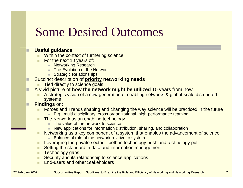## Some Desired Outcomes

#### **Useful guidance**

- Within the context of furthering science,
- ٠ For the next 10 years of:
	- **Networking Research**
	- The Evolution of the Network
	- Strategic Relationships
- □ Succinct description of **priority networking needs**
	- Tied directly to science goals
- П A vivid picture of **how the network might be utilized** 10 years from now
	- A strategic vision of a new generation of enabling networks & global-scale distributed systems

#### $\Box$ **Findings** on:

- $\mathcal{L}_{\mathcal{A}}$  Forces and Trends shaping and changing the way science will be practiced in the future
	- E.g., multi-disciplinary, cross-organizational, high-performance teaming
- ٠ The Network as an enabling technology
	- **The value of the network to science**
	- New applications for information distribution, sharing, and collaboration
- $\blacksquare$  Networking as a key component of a system that enables the advancement of science
	- **Balance of role of the network relative to system**
- ٠ Leveraging the private sector – both in technology push and technology pull
- Setting the standard in data and information management
- $\blacksquare$  Technology gaps
- **Security and its relationship to science applications**
- **Contract** End-users and other Stakeholders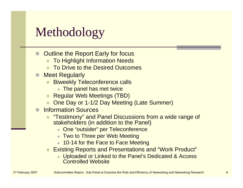# Methodology

- Outline the Report Early for focus
	- To Highlight Information Needs
	- To Drive to the Desired Outcomes
- П Meet Regularly
	- Biweekly Teleconference calls
		- The panel has met twice
	- Regular Web Meetings (TBD)
	- One Day or 1-1/2 Day Meeting (Late Summer)
- ▉ Information Sources
	- "Testimony" and Panel Discussions from a wide range of stakeholders (in addition to the Panel)
		- One "outsider" per Teleconference
		- Two to Three per Web Meeting
		- 10-14 for the Face to Face Meeting
	- Existing Reports and Presentations and "Work Product"
		- Uploaded or Linked to the Panel's Dedicated & Access Controlled Website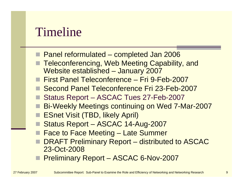### Timeline

- Panel reformulated completed Jan 2006
- Teleconferencing, Web Meeting Capability, and Website established – January 2007
- First Panel Teleconference Fri 9-Feb-2007
- Second Panel Teleconference Fri 23-Feb-2007
- Status Report ASCAC Tues 27-Feb-2007
- Bi-Weekly Meetings continuing on Wed 7-Mar-2007
- **ESnet Visit (TBD, likely April)**
- Status Report ASCAC 14-Aug-2007
- Face to Face Meeting Late Summer
- DRAFT Preliminary Report distributed to ASCAC 23-Oct-2008
- **Preliminary Report ASCAC 6-Nov-2007**